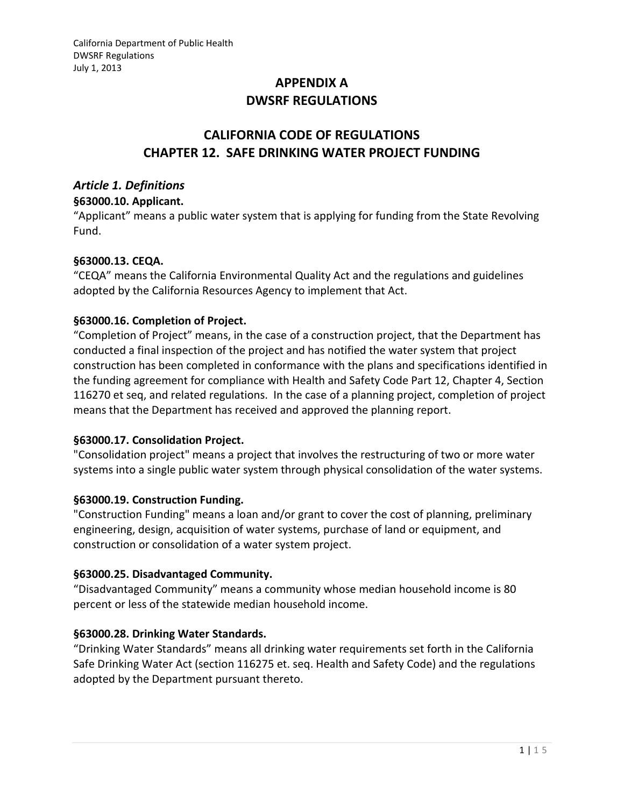# **APPENDIX A DWSRF REGULATIONS**

# **CALIFORNIA CODE OF REGULATIONS CHAPTER 12. SAFE DRINKING WATER PROJECT FUNDING**

# *Article 1. Definitions*

### **§63000.10. Applicant.**

"Applicant" means a public water system that is applying for funding from the State Revolving Fund.

# **§63000.13. CEQA.**

"CEQA" means the California Environmental Quality Act and the regulations and guidelines adopted by the California Resources Agency to implement that Act.

# **§63000.16. Completion of Project.**

"Completion of Project" means, in the case of a construction project, that the Department has conducted a final inspection of the project and has notified the water system that project construction has been completed in conformance with the plans and specifications identified in the funding agreement for compliance with Health and Safety Code Part 12, Chapter 4, Section 116270 et seq, and related regulations. In the case of a planning project, completion of project means that the Department has received and approved the planning report.

# **§63000.17. Consolidation Project.**

"Consolidation project" means a project that involves the restructuring of two or more water systems into a single public water system through physical consolidation of the water systems.

# **§63000.19. Construction Funding.**

"Construction Funding" means a loan and/or grant to cover the cost of planning, preliminary engineering, design, acquisition of water systems, purchase of land or equipment, and construction or consolidation of a water system project.

# **§63000.25. Disadvantaged Community.**

"Disadvantaged Community" means a community whose median household income is 80 percent or less of the statewide median household income.

# **§63000.28. Drinking Water Standards.**

"Drinking Water Standards" means all drinking water requirements set forth in the California Safe Drinking Water Act (section 116275 et. seq. Health and Safety Code) and the regulations adopted by the Department pursuant thereto.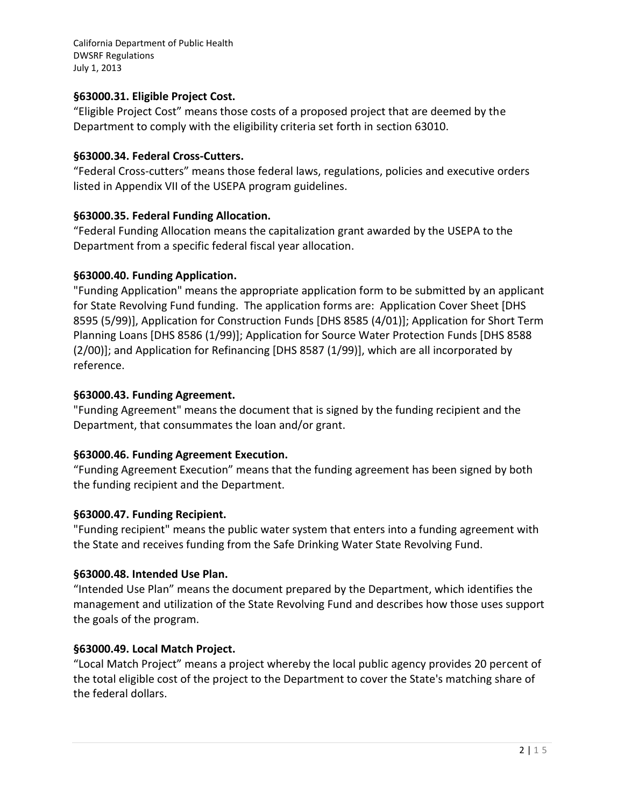### **§63000.31. Eligible Project Cost.**

"Eligible Project Cost" means those costs of a proposed project that are deemed by the Department to comply with the eligibility criteria set forth in section 63010.

### **§63000.34. Federal Cross-Cutters.**

"Federal Cross-cutters" means those federal laws, regulations, policies and executive orders listed in Appendix VII of the USEPA program guidelines.

### **§63000.35. Federal Funding Allocation.**

"Federal Funding Allocation means the capitalization grant awarded by the USEPA to the Department from a specific federal fiscal year allocation.

### **§63000.40. Funding Application.**

"Funding Application" means the appropriate application form to be submitted by an applicant for State Revolving Fund funding. The application forms are: Application Cover Sheet [DHS 8595 (5/99)], Application for Construction Funds [DHS 8585 (4/01)]; Application for Short Term Planning Loans [DHS 8586 (1/99)]; Application for Source Water Protection Funds [DHS 8588 (2/00)]; and Application for Refinancing [DHS 8587 (1/99)], which are all incorporated by reference.

### **§63000.43. Funding Agreement.**

"Funding Agreement" means the document that is signed by the funding recipient and the Department, that consummates the loan and/or grant.

# **§63000.46. Funding Agreement Execution.**

"Funding Agreement Execution" means that the funding agreement has been signed by both the funding recipient and the Department.

# **§63000.47. Funding Recipient.**

"Funding recipient" means the public water system that enters into a funding agreement with the State and receives funding from the Safe Drinking Water State Revolving Fund.

# **§63000.48. Intended Use Plan.**

"Intended Use Plan" means the document prepared by the Department, which identifies the management and utilization of the State Revolving Fund and describes how those uses support the goals of the program.

# **§63000.49. Local Match Project.**

"Local Match Project" means a project whereby the local public agency provides 20 percent of the total eligible cost of the project to the Department to cover the State's matching share of the federal dollars.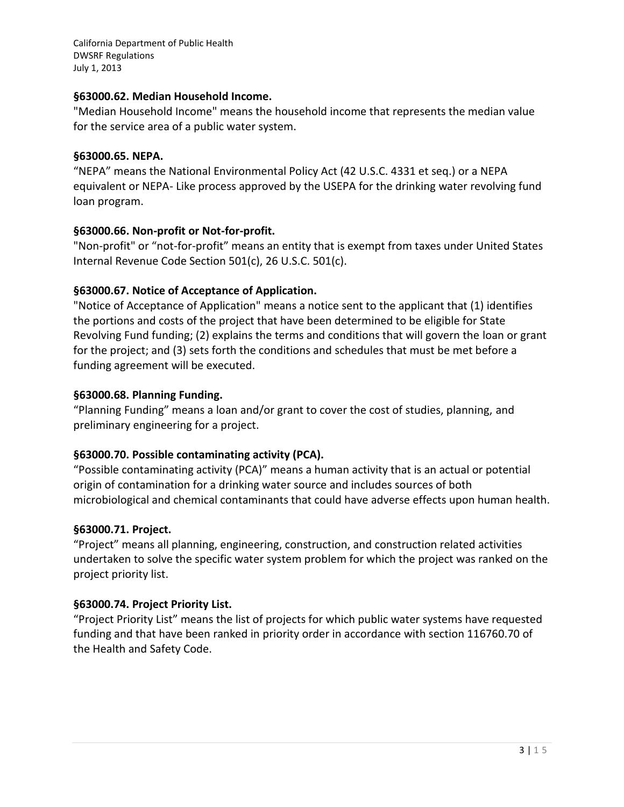### **§63000.62. Median Household Income.**

"Median Household Income" means the household income that represents the median value for the service area of a public water system.

### **§63000.65. NEPA.**

"NEPA" means the National Environmental Policy Act (42 U.S.C. 4331 et seq.) or a NEPA equivalent or NEPA- Like process approved by the USEPA for the drinking water revolving fund loan program.

# **§63000.66. Non-profit or Not-for-profit.**

"Non-profit" or "not-for-profit" means an entity that is exempt from taxes under United States Internal Revenue Code Section 501(c), 26 U.S.C. 501(c).

# **§63000.67. Notice of Acceptance of Application.**

"Notice of Acceptance of Application" means a notice sent to the applicant that (1) identifies the portions and costs of the project that have been determined to be eligible for State Revolving Fund funding; (2) explains the terms and conditions that will govern the loan or grant for the project; and (3) sets forth the conditions and schedules that must be met before a funding agreement will be executed.

# **§63000.68. Planning Funding.**

"Planning Funding" means a loan and/or grant to cover the cost of studies, planning, and preliminary engineering for a project.

# **§63000.70. Possible contaminating activity (PCA).**

"Possible contaminating activity (PCA)" means a human activity that is an actual or potential origin of contamination for a drinking water source and includes sources of both microbiological and chemical contaminants that could have adverse effects upon human health.

# **§63000.71. Project.**

"Project" means all planning, engineering, construction, and construction related activities undertaken to solve the specific water system problem for which the project was ranked on the project priority list.

# **§63000.74. Project Priority List.**

"Project Priority List" means the list of projects for which public water systems have requested funding and that have been ranked in priority order in accordance with section 116760.70 of the Health and Safety Code.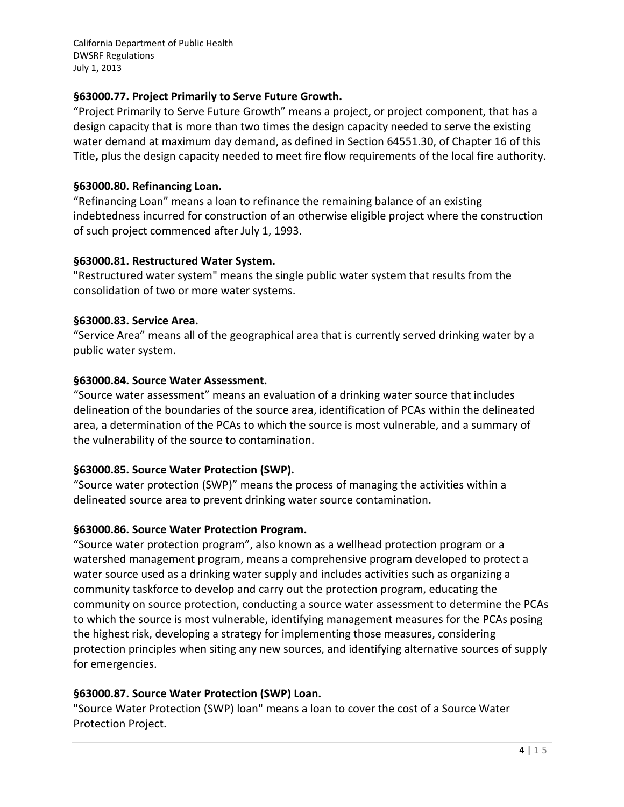### **§63000.77. Project Primarily to Serve Future Growth.**

"Project Primarily to Serve Future Growth" means a project, or project component, that has a design capacity that is more than two times the design capacity needed to serve the existing water demand at maximum day demand, as defined in Section 64551.30, of Chapter 16 of this Title**,** plus the design capacity needed to meet fire flow requirements of the local fire authority.

### **§63000.80. Refinancing Loan.**

"Refinancing Loan" means a loan to refinance the remaining balance of an existing indebtedness incurred for construction of an otherwise eligible project where the construction of such project commenced after July 1, 1993.

### **§63000.81. Restructured Water System.**

"Restructured water system" means the single public water system that results from the consolidation of two or more water systems.

### **§63000.83. Service Area.**

"Service Area" means all of the geographical area that is currently served drinking water by a public water system.

### **§63000.84. Source Water Assessment.**

"Source water assessment" means an evaluation of a drinking water source that includes delineation of the boundaries of the source area, identification of PCAs within the delineated area, a determination of the PCAs to which the source is most vulnerable, and a summary of the vulnerability of the source to contamination.

# **§63000.85. Source Water Protection (SWP).**

"Source water protection (SWP)" means the process of managing the activities within a delineated source area to prevent drinking water source contamination.

# **§63000.86. Source Water Protection Program.**

"Source water protection program", also known as a wellhead protection program or a watershed management program, means a comprehensive program developed to protect a water source used as a drinking water supply and includes activities such as organizing a community taskforce to develop and carry out the protection program, educating the community on source protection, conducting a source water assessment to determine the PCAs to which the source is most vulnerable, identifying management measures for the PCAs posing the highest risk, developing a strategy for implementing those measures, considering protection principles when siting any new sources, and identifying alternative sources of supply for emergencies.

# **§63000.87. Source Water Protection (SWP) Loan.**

"Source Water Protection (SWP) loan" means a loan to cover the cost of a Source Water Protection Project.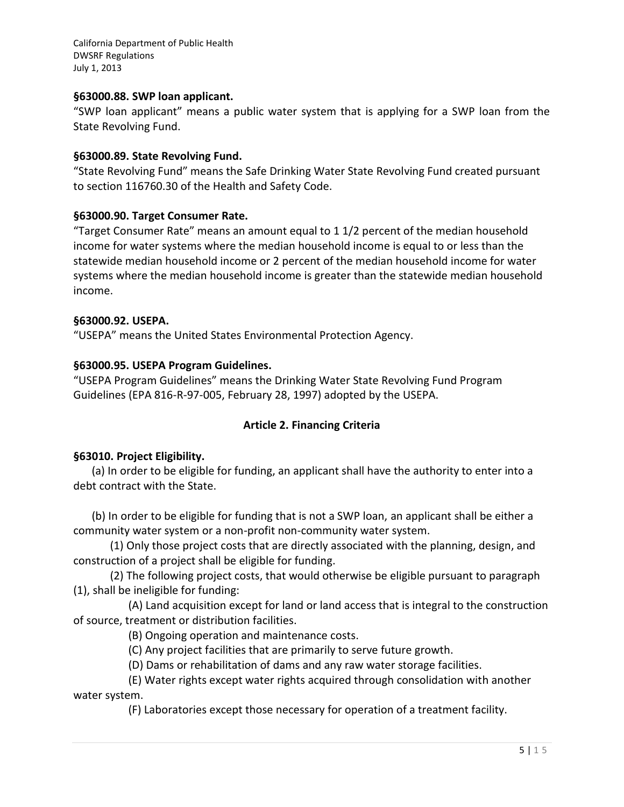#### **§63000.88. SWP loan applicant.**

"SWP loan applicant" means a public water system that is applying for a SWP loan from the State Revolving Fund.

#### **§63000.89. State Revolving Fund.**

"State Revolving Fund" means the Safe Drinking Water State Revolving Fund created pursuant to section 116760.30 of the Health and Safety Code.

#### **§63000.90. Target Consumer Rate.**

"Target Consumer Rate" means an amount equal to 1 1/2 percent of the median household income for water systems where the median household income is equal to or less than the statewide median household income or 2 percent of the median household income for water systems where the median household income is greater than the statewide median household income.

#### **§63000.92. USEPA.**

"USEPA" means the United States Environmental Protection Agency.

#### **§63000.95. USEPA Program Guidelines.**

"USEPA Program Guidelines" means the Drinking Water State Revolving Fund Program Guidelines (EPA 816-R-97-005, February 28, 1997) adopted by the USEPA.

### **Article 2. Financing Criteria**

### **§63010. Project Eligibility.**

(a) In order to be eligible for funding, an applicant shall have the authority to enter into a debt contract with the State.

(b) In order to be eligible for funding that is not a SWP loan, an applicant shall be either a community water system or a non-profit non-community water system.

(1) Only those project costs that are directly associated with the planning, design, and construction of a project shall be eligible for funding.

(2) The following project costs, that would otherwise be eligible pursuant to paragraph (1), shall be ineligible for funding:

(A) Land acquisition except for land or land access that is integral to the construction of source, treatment or distribution facilities.

(B) Ongoing operation and maintenance costs.

(C) Any project facilities that are primarily to serve future growth.

(D) Dams or rehabilitation of dams and any raw water storage facilities.

(E) Water rights except water rights acquired through consolidation with another water system.

(F) Laboratories except those necessary for operation of a treatment facility.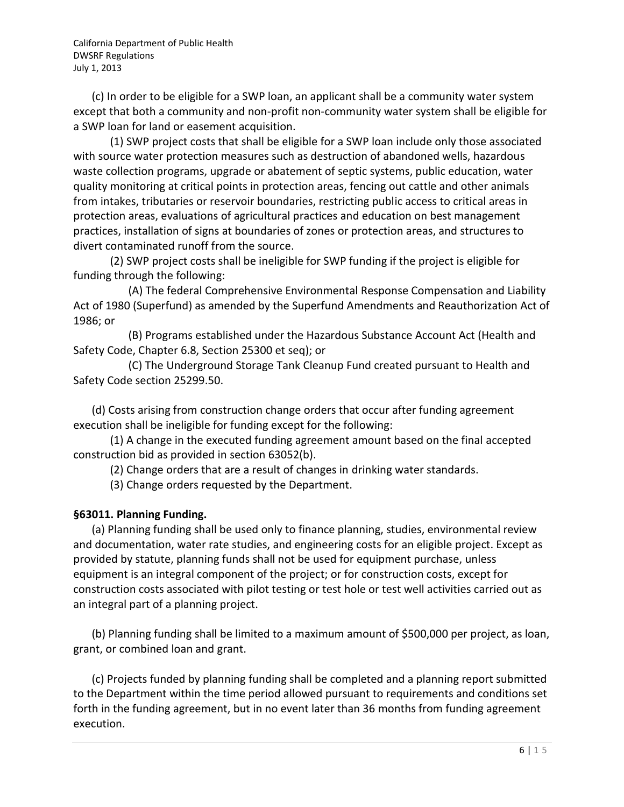(c) In order to be eligible for a SWP loan, an applicant shall be a community water system except that both a community and non-profit non-community water system shall be eligible for a SWP loan for land or easement acquisition.

(1) SWP project costs that shall be eligible for a SWP loan include only those associated with source water protection measures such as destruction of abandoned wells, hazardous waste collection programs, upgrade or abatement of septic systems, public education, water quality monitoring at critical points in protection areas, fencing out cattle and other animals from intakes, tributaries or reservoir boundaries, restricting public access to critical areas in protection areas, evaluations of agricultural practices and education on best management practices, installation of signs at boundaries of zones or protection areas, and structures to divert contaminated runoff from the source.

(2) SWP project costs shall be ineligible for SWP funding if the project is eligible for funding through the following:

(A) The federal Comprehensive Environmental Response Compensation and Liability Act of 1980 (Superfund) as amended by the Superfund Amendments and Reauthorization Act of 1986; or

(B) Programs established under the Hazardous Substance Account Act (Health and Safety Code, Chapter 6.8, Section 25300 et seq); or

(C) The Underground Storage Tank Cleanup Fund created pursuant to Health and Safety Code section 25299.50.

(d) Costs arising from construction change orders that occur after funding agreement execution shall be ineligible for funding except for the following:

(1) A change in the executed funding agreement amount based on the final accepted construction bid as provided in section 63052(b).

(2) Change orders that are a result of changes in drinking water standards.

(3) Change orders requested by the Department.

# **§63011. Planning Funding.**

(a) Planning funding shall be used only to finance planning, studies, environmental review and documentation, water rate studies, and engineering costs for an eligible project. Except as provided by statute, planning funds shall not be used for equipment purchase, unless equipment is an integral component of the project; or for construction costs, except for construction costs associated with pilot testing or test hole or test well activities carried out as an integral part of a planning project.

(b) Planning funding shall be limited to a maximum amount of \$500,000 per project, as loan, grant, or combined loan and grant.

(c) Projects funded by planning funding shall be completed and a planning report submitted to the Department within the time period allowed pursuant to requirements and conditions set forth in the funding agreement, but in no event later than 36 months from funding agreement execution.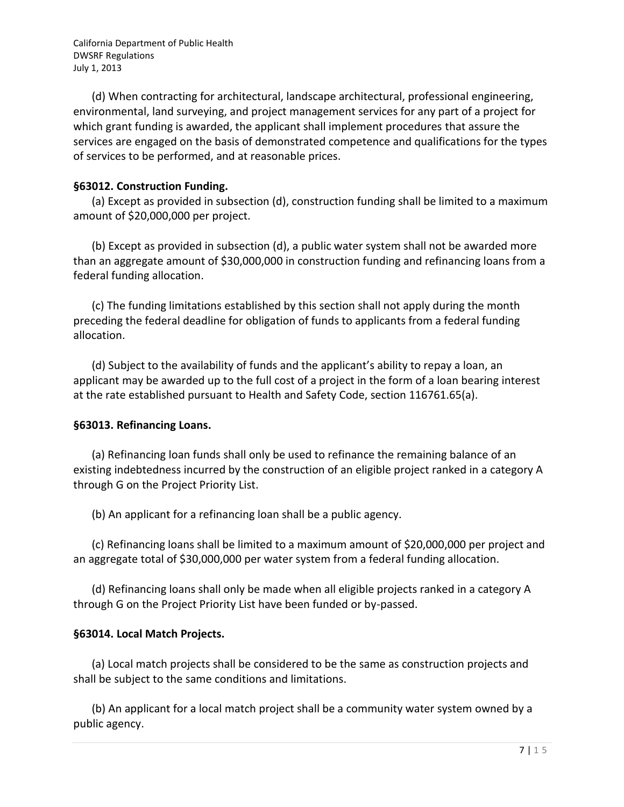(d) When contracting for architectural, landscape architectural, professional engineering, environmental, land surveying, and project management services for any part of a project for which grant funding is awarded, the applicant shall implement procedures that assure the services are engaged on the basis of demonstrated competence and qualifications for the types of services to be performed, and at reasonable prices.

### **§63012. Construction Funding.**

(a) Except as provided in subsection (d), construction funding shall be limited to a maximum amount of \$20,000,000 per project.

(b) Except as provided in subsection (d), a public water system shall not be awarded more than an aggregate amount of \$30,000,000 in construction funding and refinancing loans from a federal funding allocation.

(c) The funding limitations established by this section shall not apply during the month preceding the federal deadline for obligation of funds to applicants from a federal funding allocation.

(d) Subject to the availability of funds and the applicant's ability to repay a loan, an applicant may be awarded up to the full cost of a project in the form of a loan bearing interest at the rate established pursuant to Health and Safety Code, section 116761.65(a).

# **§63013. Refinancing Loans.**

(a) Refinancing loan funds shall only be used to refinance the remaining balance of an existing indebtedness incurred by the construction of an eligible project ranked in a category A through G on the Project Priority List.

(b) An applicant for a refinancing loan shall be a public agency.

(c) Refinancing loans shall be limited to a maximum amount of \$20,000,000 per project and an aggregate total of \$30,000,000 per water system from a federal funding allocation.

(d) Refinancing loans shall only be made when all eligible projects ranked in a category A through G on the Project Priority List have been funded or by-passed.

# **§63014. Local Match Projects.**

(a) Local match projects shall be considered to be the same as construction projects and shall be subject to the same conditions and limitations.

(b) An applicant for a local match project shall be a community water system owned by a public agency.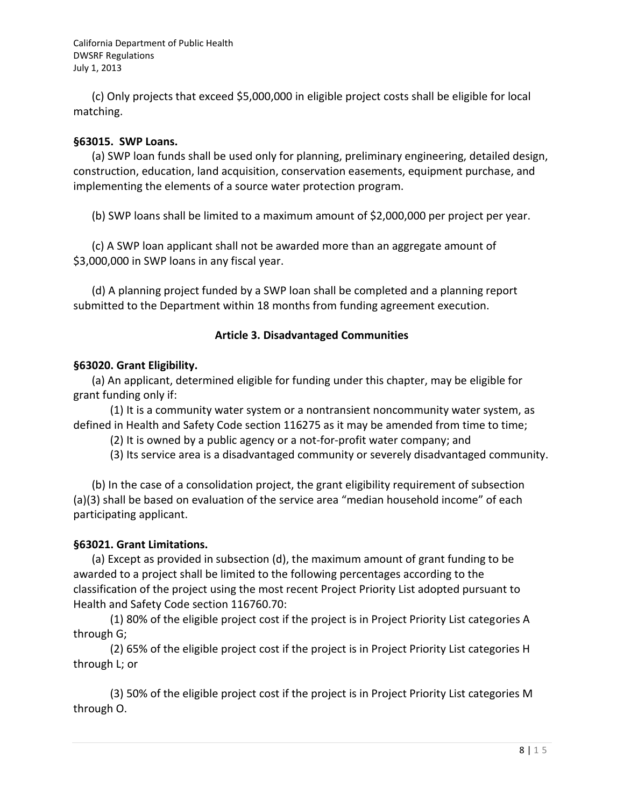(c) Only projects that exceed \$5,000,000 in eligible project costs shall be eligible for local matching.

### **§63015. SWP Loans.**

(a) SWP loan funds shall be used only for planning, preliminary engineering, detailed design, construction, education, land acquisition, conservation easements, equipment purchase, and implementing the elements of a source water protection program.

(b) SWP loans shall be limited to a maximum amount of \$2,000,000 per project per year.

(c) A SWP loan applicant shall not be awarded more than an aggregate amount of \$3,000,000 in SWP loans in any fiscal year.

(d) A planning project funded by a SWP loan shall be completed and a planning report submitted to the Department within 18 months from funding agreement execution.

### **Article 3. Disadvantaged Communities**

### **§63020. Grant Eligibility.**

(a) An applicant, determined eligible for funding under this chapter, may be eligible for grant funding only if:

(1) It is a community water system or a nontransient noncommunity water system, as defined in Health and Safety Code section 116275 as it may be amended from time to time;

(2) It is owned by a public agency or a not-for-profit water company; and

(3) Its service area is a disadvantaged community or severely disadvantaged community.

(b) In the case of a consolidation project, the grant eligibility requirement of subsection (a)(3) shall be based on evaluation of the service area "median household income" of each participating applicant.

# **§63021. Grant Limitations.**

(a) Except as provided in subsection (d), the maximum amount of grant funding to be awarded to a project shall be limited to the following percentages according to the classification of the project using the most recent Project Priority List adopted pursuant to Health and Safety Code section 116760.70:

(1) 80% of the eligible project cost if the project is in Project Priority List categories A through G;

(2) 65% of the eligible project cost if the project is in Project Priority List categories H through L; or

(3) 50% of the eligible project cost if the project is in Project Priority List categories M through O.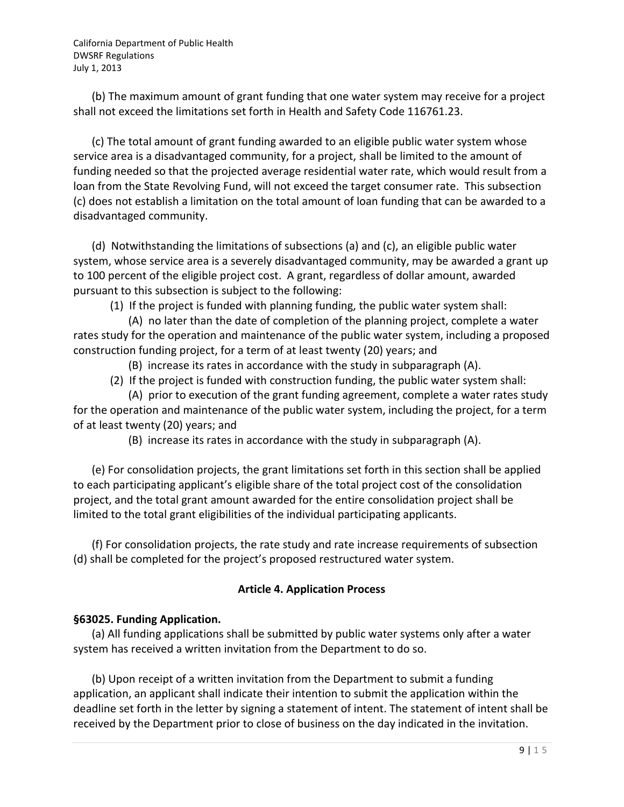(b) The maximum amount of grant funding that one water system may receive for a project shall not exceed the limitations set forth in Health and Safety Code 116761.23.

(c) The total amount of grant funding awarded to an eligible public water system whose service area is a disadvantaged community, for a project, shall be limited to the amount of funding needed so that the projected average residential water rate, which would result from a loan from the State Revolving Fund, will not exceed the target consumer rate. This subsection (c) does not establish a limitation on the total amount of loan funding that can be awarded to a disadvantaged community.

(d) Notwithstanding the limitations of subsections (a) and (c), an eligible public water system, whose service area is a severely disadvantaged community, may be awarded a grant up to 100 percent of the eligible project cost. A grant, regardless of dollar amount, awarded pursuant to this subsection is subject to the following:

(1) If the project is funded with planning funding, the public water system shall:

(A) no later than the date of completion of the planning project, complete a water rates study for the operation and maintenance of the public water system, including a proposed construction funding project, for a term of at least twenty (20) years; and

(B) increase its rates in accordance with the study in subparagraph (A).

(2) If the project is funded with construction funding, the public water system shall:

(A) prior to execution of the grant funding agreement, complete a water rates study for the operation and maintenance of the public water system, including the project, for a term of at least twenty (20) years; and

(B) increase its rates in accordance with the study in subparagraph (A).

(e) For consolidation projects, the grant limitations set forth in this section shall be applied to each participating applicant's eligible share of the total project cost of the consolidation project, and the total grant amount awarded for the entire consolidation project shall be limited to the total grant eligibilities of the individual participating applicants.

(f) For consolidation projects, the rate study and rate increase requirements of subsection (d) shall be completed for the project's proposed restructured water system.

# **Article 4. Application Process**

# **§63025. Funding Application.**

(a) All funding applications shall be submitted by public water systems only after a water system has received a written invitation from the Department to do so.

(b) Upon receipt of a written invitation from the Department to submit a funding application, an applicant shall indicate their intention to submit the application within the deadline set forth in the letter by signing a statement of intent. The statement of intent shall be received by the Department prior to close of business on the day indicated in the invitation.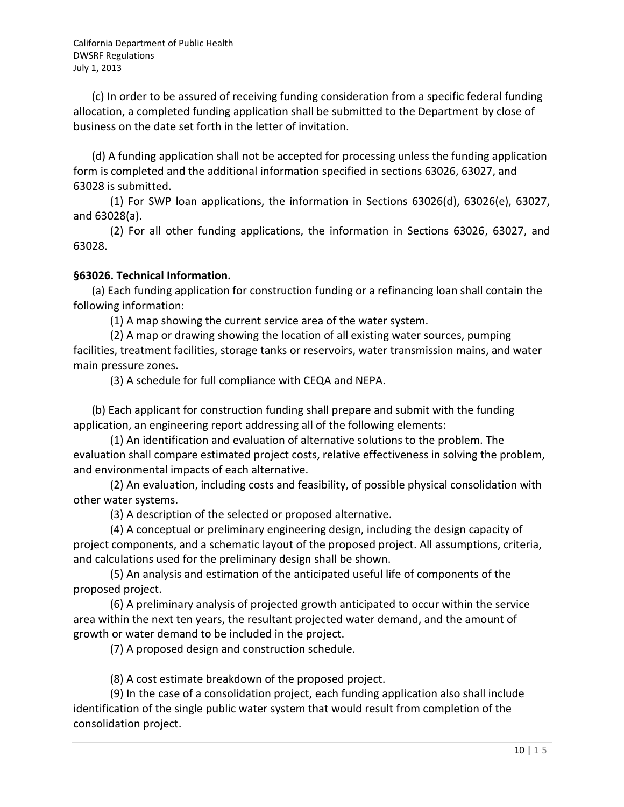(c) In order to be assured of receiving funding consideration from a specific federal funding allocation, a completed funding application shall be submitted to the Department by close of business on the date set forth in the letter of invitation.

(d) A funding application shall not be accepted for processing unless the funding application form is completed and the additional information specified in sections 63026, 63027, and 63028 is submitted.

(1) For SWP loan applications, the information in Sections 63026(d), 63026(e), 63027, and 63028(a).

(2) For all other funding applications, the information in Sections 63026, 63027, and 63028.

### **§63026. Technical Information.**

(a) Each funding application for construction funding or a refinancing loan shall contain the following information:

(1) A map showing the current service area of the water system.

(2) A map or drawing showing the location of all existing water sources, pumping facilities, treatment facilities, storage tanks or reservoirs, water transmission mains, and water main pressure zones.

(3) A schedule for full compliance with CEQA and NEPA.

(b) Each applicant for construction funding shall prepare and submit with the funding application, an engineering report addressing all of the following elements:

(1) An identification and evaluation of alternative solutions to the problem. The evaluation shall compare estimated project costs, relative effectiveness in solving the problem, and environmental impacts of each alternative.

(2) An evaluation, including costs and feasibility, of possible physical consolidation with other water systems.

(3) A description of the selected or proposed alternative.

(4) A conceptual or preliminary engineering design, including the design capacity of project components, and a schematic layout of the proposed project. All assumptions, criteria, and calculations used for the preliminary design shall be shown.

(5) An analysis and estimation of the anticipated useful life of components of the proposed project.

(6) A preliminary analysis of projected growth anticipated to occur within the service area within the next ten years, the resultant projected water demand, and the amount of growth or water demand to be included in the project.

(7) A proposed design and construction schedule.

(8) A cost estimate breakdown of the proposed project.

(9) In the case of a consolidation project, each funding application also shall include identification of the single public water system that would result from completion of the consolidation project.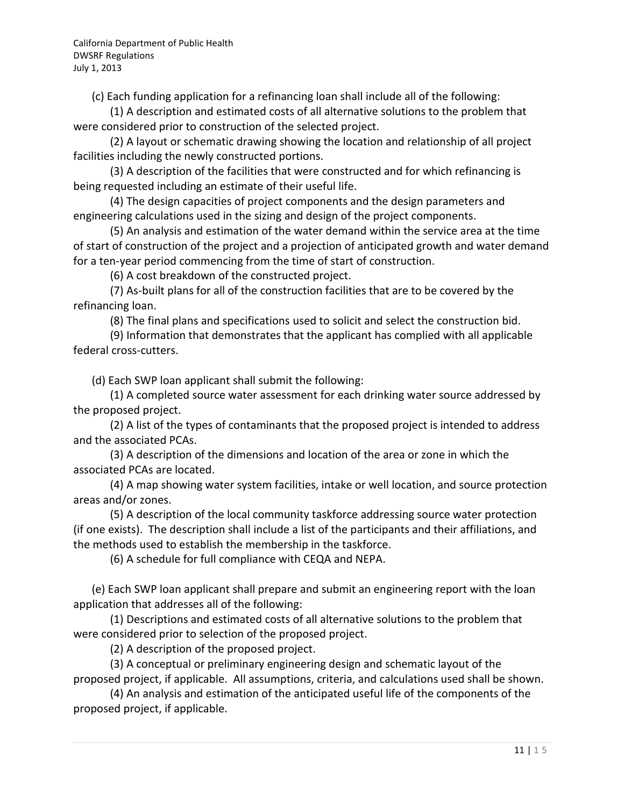(c) Each funding application for a refinancing loan shall include all of the following:

(1) A description and estimated costs of all alternative solutions to the problem that were considered prior to construction of the selected project.

(2) A layout or schematic drawing showing the location and relationship of all project facilities including the newly constructed portions.

(3) A description of the facilities that were constructed and for which refinancing is being requested including an estimate of their useful life.

(4) The design capacities of project components and the design parameters and engineering calculations used in the sizing and design of the project components.

(5) An analysis and estimation of the water demand within the service area at the time of start of construction of the project and a projection of anticipated growth and water demand for a ten-year period commencing from the time of start of construction.

(6) A cost breakdown of the constructed project.

(7) As-built plans for all of the construction facilities that are to be covered by the refinancing loan.

(8) The final plans and specifications used to solicit and select the construction bid.

(9) Information that demonstrates that the applicant has complied with all applicable federal cross-cutters.

(d) Each SWP loan applicant shall submit the following:

(1) A completed source water assessment for each drinking water source addressed by the proposed project.

(2) A list of the types of contaminants that the proposed project is intended to address and the associated PCAs.

(3) A description of the dimensions and location of the area or zone in which the associated PCAs are located.

(4) A map showing water system facilities, intake or well location, and source protection areas and/or zones.

(5) A description of the local community taskforce addressing source water protection (if one exists). The description shall include a list of the participants and their affiliations, and the methods used to establish the membership in the taskforce.

(6) A schedule for full compliance with CEQA and NEPA.

(e) Each SWP loan applicant shall prepare and submit an engineering report with the loan application that addresses all of the following:

(1) Descriptions and estimated costs of all alternative solutions to the problem that were considered prior to selection of the proposed project.

(2) A description of the proposed project.

(3) A conceptual or preliminary engineering design and schematic layout of the proposed project, if applicable. All assumptions, criteria, and calculations used shall be shown.

(4) An analysis and estimation of the anticipated useful life of the components of the proposed project, if applicable.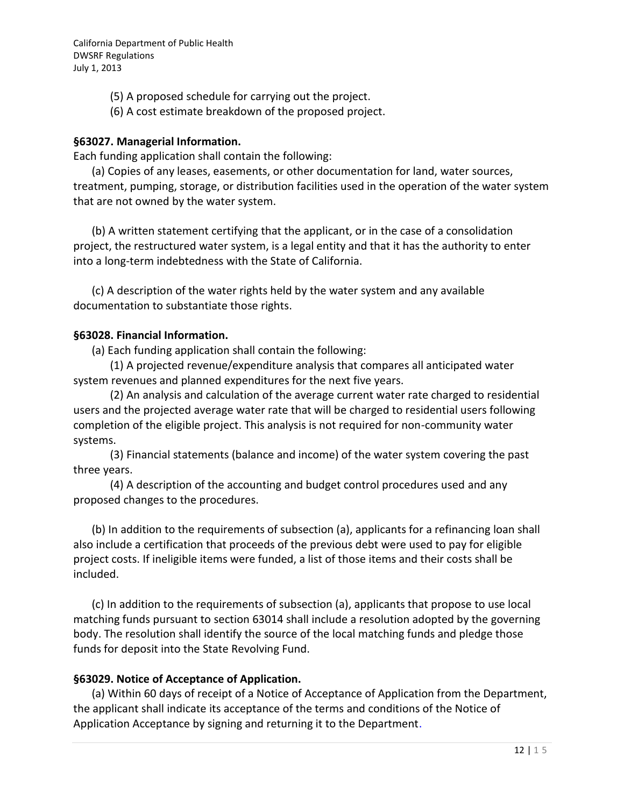- (5) A proposed schedule for carrying out the project.
- (6) A cost estimate breakdown of the proposed project.

### **§63027. Managerial Information.**

Each funding application shall contain the following:

(a) Copies of any leases, easements, or other documentation for land, water sources, treatment, pumping, storage, or distribution facilities used in the operation of the water system that are not owned by the water system.

(b) A written statement certifying that the applicant, or in the case of a consolidation project, the restructured water system, is a legal entity and that it has the authority to enter into a long-term indebtedness with the State of California.

(c) A description of the water rights held by the water system and any available documentation to substantiate those rights.

### **§63028. Financial Information.**

(a) Each funding application shall contain the following:

(1) A projected revenue/expenditure analysis that compares all anticipated water system revenues and planned expenditures for the next five years.

(2) An analysis and calculation of the average current water rate charged to residential users and the projected average water rate that will be charged to residential users following completion of the eligible project. This analysis is not required for non-community water systems.

(3) Financial statements (balance and income) of the water system covering the past three years.

(4) A description of the accounting and budget control procedures used and any proposed changes to the procedures.

(b) In addition to the requirements of subsection (a), applicants for a refinancing loan shall also include a certification that proceeds of the previous debt were used to pay for eligible project costs. If ineligible items were funded, a list of those items and their costs shall be included.

(c) In addition to the requirements of subsection (a), applicants that propose to use local matching funds pursuant to section 63014 shall include a resolution adopted by the governing body. The resolution shall identify the source of the local matching funds and pledge those funds for deposit into the State Revolving Fund.

# **§63029. Notice of Acceptance of Application.**

(a) Within 60 days of receipt of a Notice of Acceptance of Application from the Department, the applicant shall indicate its acceptance of the terms and conditions of the Notice of Application Acceptance by signing and returning it to the Department.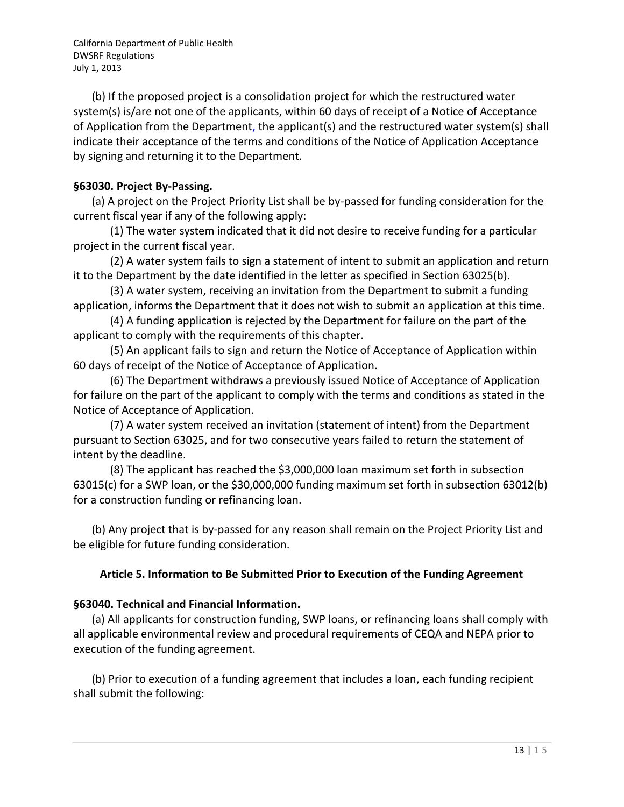(b) If the proposed project is a consolidation project for which the restructured water system(s) is/are not one of the applicants, within 60 days of receipt of a Notice of Acceptance of Application from the Department, the applicant(s) and the restructured water system(s) shall indicate their acceptance of the terms and conditions of the Notice of Application Acceptance by signing and returning it to the Department.

### **§63030. Project By-Passing.**

(a) A project on the Project Priority List shall be by-passed for funding consideration for the current fiscal year if any of the following apply:

(1) The water system indicated that it did not desire to receive funding for a particular project in the current fiscal year.

(2) A water system fails to sign a statement of intent to submit an application and return it to the Department by the date identified in the letter as specified in Section 63025(b).

(3) A water system, receiving an invitation from the Department to submit a funding application, informs the Department that it does not wish to submit an application at this time.

(4) A funding application is rejected by the Department for failure on the part of the applicant to comply with the requirements of this chapter.

(5) An applicant fails to sign and return the Notice of Acceptance of Application within 60 days of receipt of the Notice of Acceptance of Application.

(6) The Department withdraws a previously issued Notice of Acceptance of Application for failure on the part of the applicant to comply with the terms and conditions as stated in the Notice of Acceptance of Application.

(7) A water system received an invitation (statement of intent) from the Department pursuant to Section 63025, and for two consecutive years failed to return the statement of intent by the deadline.

(8) The applicant has reached the \$3,000,000 loan maximum set forth in subsection 63015(c) for a SWP loan, or the \$30,000,000 funding maximum set forth in subsection 63012(b) for a construction funding or refinancing loan.

(b) Any project that is by-passed for any reason shall remain on the Project Priority List and be eligible for future funding consideration.

# **Article 5. Information to Be Submitted Prior to Execution of the Funding Agreement**

# **§63040. Technical and Financial Information.**

(a) All applicants for construction funding, SWP loans, or refinancing loans shall comply with all applicable environmental review and procedural requirements of CEQA and NEPA prior to execution of the funding agreement.

(b) Prior to execution of a funding agreement that includes a loan, each funding recipient shall submit the following: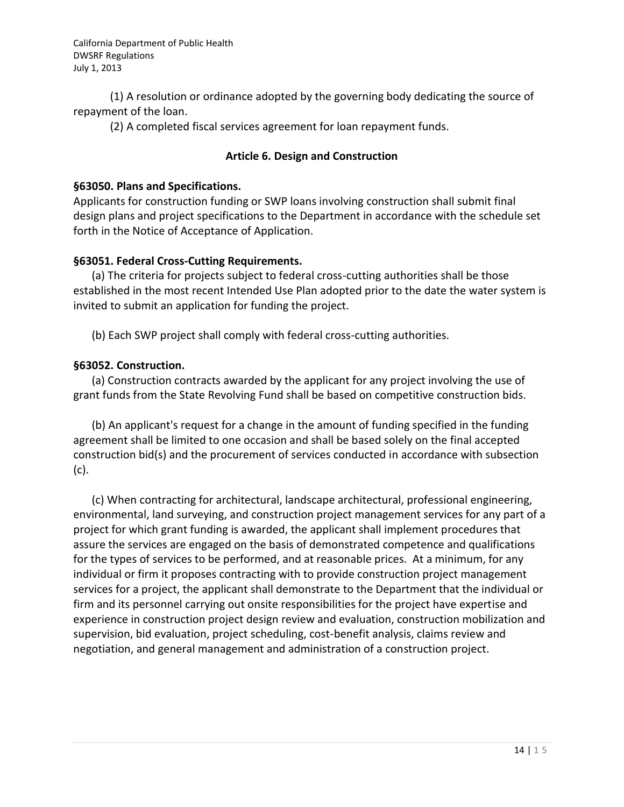(1) A resolution or ordinance adopted by the governing body dedicating the source of repayment of the loan.

(2) A completed fiscal services agreement for loan repayment funds.

### **Article 6. Design and Construction**

### **§63050. Plans and Specifications.**

Applicants for construction funding or SWP loans involving construction shall submit final design plans and project specifications to the Department in accordance with the schedule set forth in the Notice of Acceptance of Application.

### **§63051. Federal Cross-Cutting Requirements.**

(a) The criteria for projects subject to federal cross-cutting authorities shall be those established in the most recent Intended Use Plan adopted prior to the date the water system is invited to submit an application for funding the project.

(b) Each SWP project shall comply with federal cross-cutting authorities.

# **§63052. Construction.**

(a) Construction contracts awarded by the applicant for any project involving the use of grant funds from the State Revolving Fund shall be based on competitive construction bids.

(b) An applicant's request for a change in the amount of funding specified in the funding agreement shall be limited to one occasion and shall be based solely on the final accepted construction bid(s) and the procurement of services conducted in accordance with subsection (c).

(c) When contracting for architectural, landscape architectural, professional engineering, environmental, land surveying, and construction project management services for any part of a project for which grant funding is awarded, the applicant shall implement procedures that assure the services are engaged on the basis of demonstrated competence and qualifications for the types of services to be performed, and at reasonable prices. At a minimum, for any individual or firm it proposes contracting with to provide construction project management services for a project, the applicant shall demonstrate to the Department that the individual or firm and its personnel carrying out onsite responsibilities for the project have expertise and experience in construction project design review and evaluation, construction mobilization and supervision, bid evaluation, project scheduling, cost-benefit analysis, claims review and negotiation, and general management and administration of a construction project.